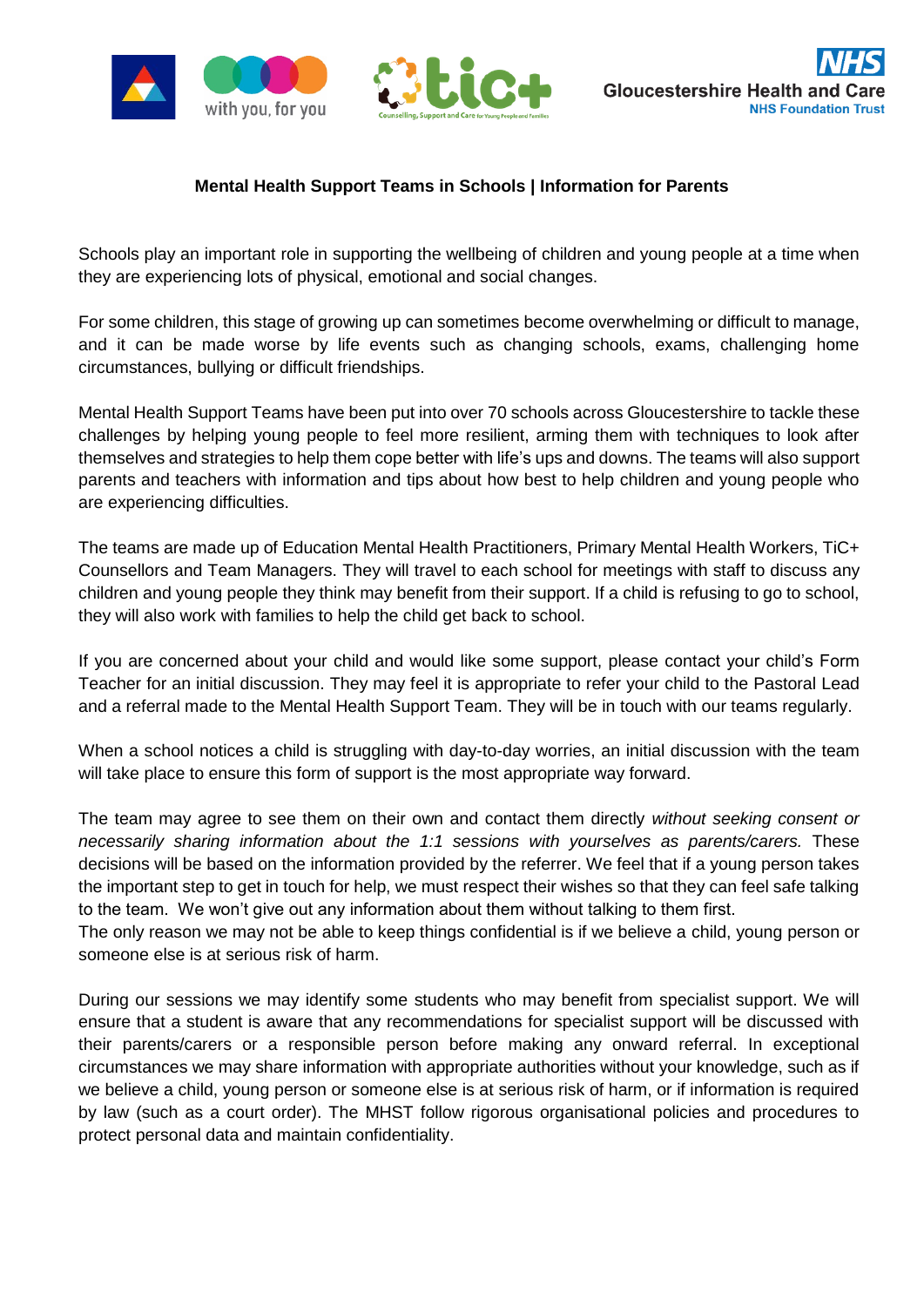



## **Mental Health Support Teams in Schools | Information for Parents**

Schools play an important role in supporting the wellbeing of children and young people at a time when they are experiencing lots of physical, emotional and social changes.

For some children, this stage of growing up can sometimes become overwhelming or difficult to manage, and it can be made worse by life events such as changing schools, exams, challenging home circumstances, bullying or difficult friendships.

Mental Health Support Teams have been put into over 70 schools across Gloucestershire to tackle these challenges by helping young people to feel more resilient, arming them with techniques to look after themselves and strategies to help them cope better with life's ups and downs. The teams will also support parents and teachers with information and tips about how best to help children and young people who are experiencing difficulties.

The teams are made up of Education Mental Health Practitioners, Primary Mental Health Workers, TiC+ Counsellors and Team Managers. They will travel to each school for meetings with staff to discuss any children and young people they think may benefit from their support. If a child is refusing to go to school, they will also work with families to help the child get back to school.

If you are concerned about your child and would like some support, please contact your child's Form Teacher for an initial discussion. They may feel it is appropriate to refer your child to the Pastoral Lead and a referral made to the Mental Health Support Team. They will be in touch with our teams regularly.

When a school notices a child is struggling with day-to-day worries, an initial discussion with the team will take place to ensure this form of support is the most appropriate way forward.

The team may agree to see them on their own and contact them directly *without seeking consent or necessarily sharing information about the 1:1 sessions with yourselves as parents/carers.* These decisions will be based on the information provided by the referrer. We feel that if a young person takes the important step to get in touch for help, we must respect their wishes so that they can feel safe talking to the team. We won't give out any information about them without talking to them first.

The only reason we may not be able to keep things confidential is if we believe a child, young person or someone else is at serious risk of harm.

During our sessions we may identify some students who may benefit from specialist support. We will ensure that a student is aware that any recommendations for specialist support will be discussed with their parents/carers or a responsible person before making any onward referral. In exceptional circumstances we may share information with appropriate authorities without your knowledge, such as if we believe a child, young person or someone else is at serious risk of harm, or if information is required by law (such as a court order). The MHST follow rigorous organisational policies and procedures to protect personal data and maintain confidentiality.